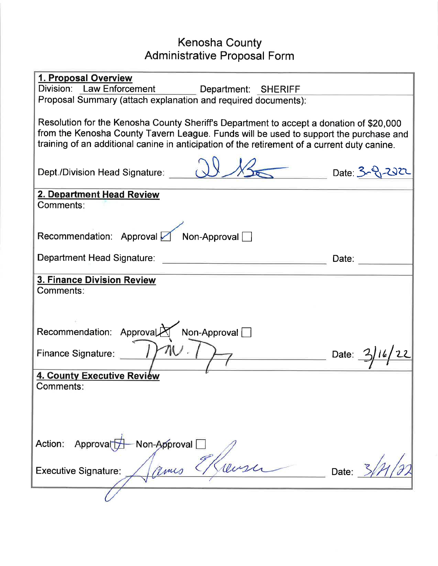# Kenosha County Administrative Proposal Form

| 1. Proposal Overview<br>Division: Law Enforcement<br>Department: SHERIFF                                                                                                                                                                                                         |                 |  |  |  |  |  |  |  |
|----------------------------------------------------------------------------------------------------------------------------------------------------------------------------------------------------------------------------------------------------------------------------------|-----------------|--|--|--|--|--|--|--|
| Proposal Summary (attach explanation and required documents):                                                                                                                                                                                                                    |                 |  |  |  |  |  |  |  |
| Resolution for the Kenosha County Sheriff's Department to accept a donation of \$20,000<br>from the Kenosha County Tavern League. Funds will be used to support the purchase and<br>training of an additional canine in anticipation of the retirement of a current duty canine. |                 |  |  |  |  |  |  |  |
| Dept./Division Head Signature:                                                                                                                                                                                                                                                   | $Date: 3 - 222$ |  |  |  |  |  |  |  |
| 2. Department Head Review<br>Comments:                                                                                                                                                                                                                                           |                 |  |  |  |  |  |  |  |
| Recommendation: Approval Mon-Approval                                                                                                                                                                                                                                            |                 |  |  |  |  |  |  |  |
| Department Head Signature:                                                                                                                                                                                                                                                       | Date:           |  |  |  |  |  |  |  |
| <b>3. Finance Division Review</b><br>Comments:                                                                                                                                                                                                                                   |                 |  |  |  |  |  |  |  |
| Recommendation: ApprovalA Non-Approval                                                                                                                                                                                                                                           |                 |  |  |  |  |  |  |  |
| Finance Signature:                                                                                                                                                                                                                                                               | Date: 3/16      |  |  |  |  |  |  |  |
| 4. County Executive Review<br>Comments:                                                                                                                                                                                                                                          |                 |  |  |  |  |  |  |  |
|                                                                                                                                                                                                                                                                                  |                 |  |  |  |  |  |  |  |
| Action: Approval<br>Non-Approval [                                                                                                                                                                                                                                               |                 |  |  |  |  |  |  |  |
| <b>Executive Signature:</b>                                                                                                                                                                                                                                                      | Date:           |  |  |  |  |  |  |  |
|                                                                                                                                                                                                                                                                                  |                 |  |  |  |  |  |  |  |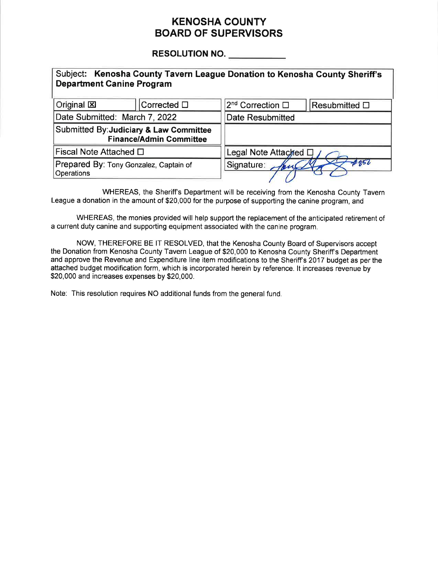## KENOSHA COUNTY BOARD OF SUPERVISORS

# RESOLUTION NO.

| Subject: Kenosha County Tavern League Donation to Kenosha County Sheriff's<br><b>Department Canine Program</b> |                                |                              |               |  |  |  |  |  |  |
|----------------------------------------------------------------------------------------------------------------|--------------------------------|------------------------------|---------------|--|--|--|--|--|--|
| Original X                                                                                                     | Corrected $\square$            | 2 <sup>nd</sup> Correction □ | Resubmitted D |  |  |  |  |  |  |
| Date Submitted: March 7, 2022                                                                                  |                                | <b>Date Resubmitted</b>      |               |  |  |  |  |  |  |
| Submitted By: Judiciary & Law Committee                                                                        | <b>Finance/Admin Committee</b> |                              |               |  |  |  |  |  |  |
| Fiscal Note Attached □                                                                                         |                                | Legal Note Attached $\Box$ / |               |  |  |  |  |  |  |
| Prepared By: Tony Gonzalez, Captain of<br>Operations                                                           |                                | #956<br>Signature:           |               |  |  |  |  |  |  |

WHEREAS, the Sheriff's Department will be receiving from the Kenosha County Tavern League a donation in the amount of \$20,000 for the purpose of supporting the canine program, and

WHEREAS, the monies provided will help support the replacement of the anticipated retirement of a current duty canine and supporting equipment associated with the canine program.

NOW, THEREFORE BE lT RESOLVED, that the Kenosha County Board of Supervisors accept the Donation from Kenosha County Tavern League of \$20,000 to Kenosha County Sheriff's Department and approve the Revenue and Expenditure line item modifications to the Sheriff's 2017 budget as per the attached budget modification form, which is incorporated herein by reference. lt increases revenue by \$20,000 and increases expenses by \$20,000.

Note: This resolution requires NO additional funds from the general fund.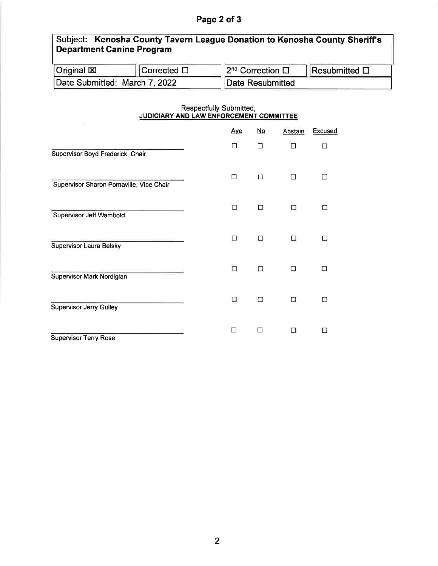### Page 2 of 3

### Subject: Kenosha Gounty Tavern League Donation to Kenosha Gounty Sheriff's Department Canine Program Original XI Corrected  $\square$  $2^{nd}$  Correction  $\Box$  Resubmitted  $\Box$

Date Resubmitted

| Respectfully Submitted,                        |  |  |  |  |  |  |
|------------------------------------------------|--|--|--|--|--|--|
|                                                |  |  |  |  |  |  |
| <b>JUDICIARY AND LAW ENFORCEMENT COMMITTEE</b> |  |  |  |  |  |  |
|                                                |  |  |  |  |  |  |

|                                         | <b>Aye</b> | $No$ | Abstain | Excused |
|-----------------------------------------|------------|------|---------|---------|
| Supervisor Boyd Frederick, Chair        | □          | П    | п       | П       |
| Supervisor Sharon Pomaville, Vice Chair | П          | п    |         |         |
| Supervisor Jeff Wambold                 | Ω          | П    |         |         |
| Supervisor Laura Belsky                 | п          | п    | П       |         |
| Supervisor Mark Nordigian               | 0          | □    | п       |         |
| <b>Supervisor Jerry Gulley</b>          | п          | п    | п       |         |
| <b>Supervisor Terry Rose</b>            |            | П    | н       |         |

Date Submitted: March 7, 2022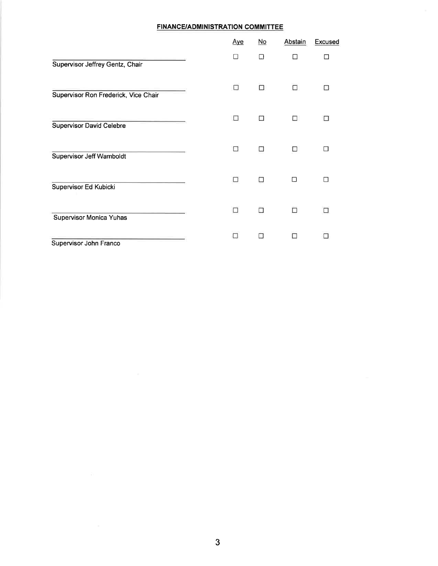#### FINANCE/ADMINISTRATION COMMITTEE

|                                      | <u>Aye</u> | $No$   | Abstain | <b>Excused</b> |
|--------------------------------------|------------|--------|---------|----------------|
| Supervisor Jeffrey Gentz, Chair      | $\Box$     | $\Box$ | П       | П              |
| Supervisor Ron Frederick, Vice Chair | п          | П      | П       |                |
| <b>Supervisor David Celebre</b>      | $\Box$     | П      | □       | L.             |
| Supervisor Jeff Wamboldt             | □          | П      | п       | ГΙ             |
| Supervisor Ed Kubicki                | п          | П      | П       |                |
| Supervisor Monica Yuhas              | □          |        | П       |                |
| Supervisor John Franco               | П          | k.     | п       |                |